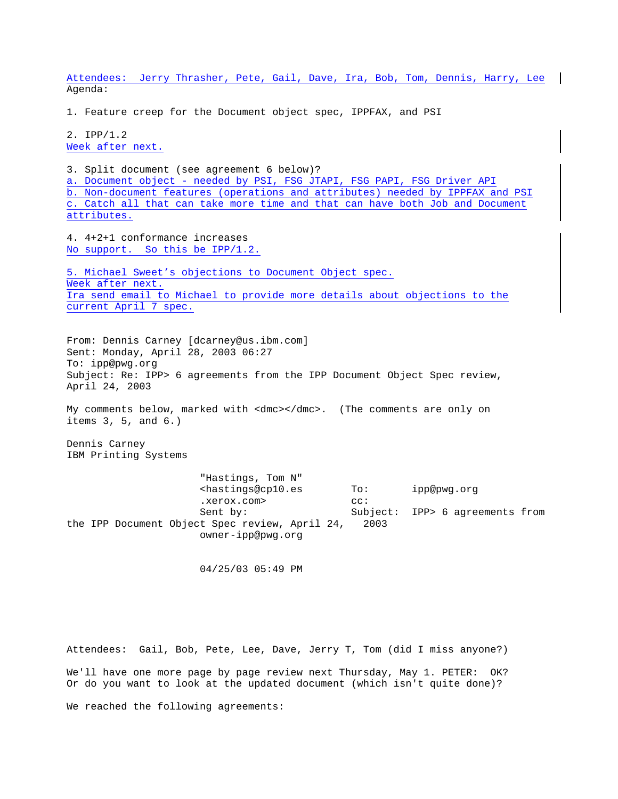Attendees: Jerry Thrasher, Pete, Gail, Dave, Ira, Bob, Tom, Dennis, Harry, Lee Agenda:

1. Feature creep for the Document object spec, IPPFAX, and PSI

2. IPP/1.2 Week after next.

3. Split document (see agreement 6 below)? a. Document object - needed by PSI, FSG JTAPI, FSG PAPI, FSG Driver API b. Non-document features (operations and attributes) needed by IPPFAX and PSI c. Catch all that can take more time and that can have both Job and Document attributes.

4. 4+2+1 conformance increases No support. So this be IPP/1.2.

5. Michael Sweet's objections to Document Object spec. Week after next. Ira send email to Michael to provide more details about objections to the current April 7 spec.

From: Dennis Carney [dcarney@us.ibm.com] Sent: Monday, April 28, 2003 06:27 To: ipp@pwg.org Subject: Re: IPP> 6 agreements from the IPP Document Object Spec review, April 24, 2003

My comments below, marked with <dmc></dmc>. (The comments are only on items 3, 5, and 6.)

Dennis Carney IBM Printing Systems

 "Hastings, Tom N" <hastings@cp10.es To: ipp@pwg.org .xerox.com> cc: Sent by: Subject: IPP> 6 agreements from the IPP Document Object Spec review, April 24, 2003 owner-ipp@pwg.org

04/25/03 05:49 PM

Attendees: Gail, Bob, Pete, Lee, Dave, Jerry T, Tom (did I miss anyone?) We'll have one more page by page review next Thursday, May 1. PETER: OK? Or do you want to look at the updated document (which isn't quite done)? We reached the following agreements: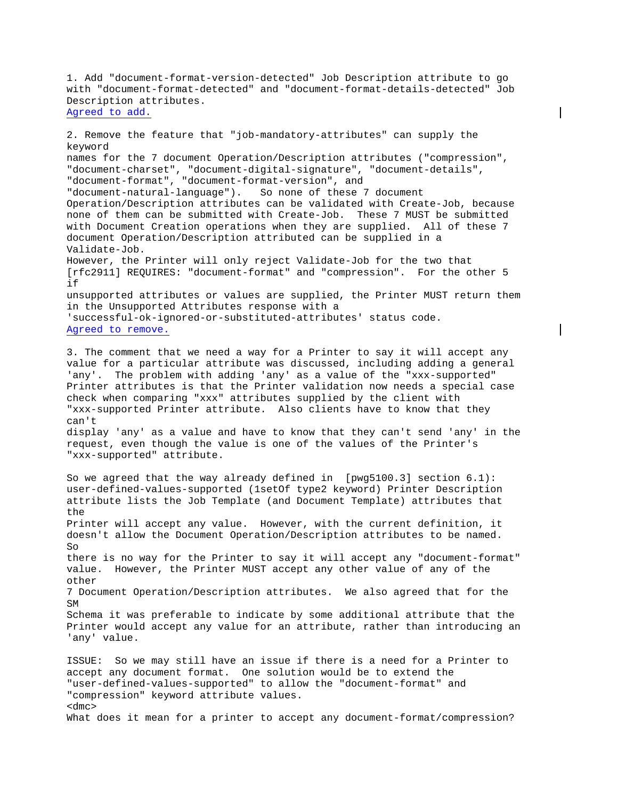1. Add "document-format-version-detected" Job Description attribute to go with "document-format-detected" and "document-format-details-detected" Job Description attributes. Agreed to add.

2. Remove the feature that "job-mandatory-attributes" can supply the keyword names for the 7 document Operation/Description attributes ("compression", "document-charset", "document-digital-signature", "document-details", "document-format", "document-format-version", and "document-natural-language"). So none of these 7 document Operation/Description attributes can be validated with Create-Job, because none of them can be submitted with Create-Job. These 7 MUST be submitted with Document Creation operations when they are supplied. All of these 7 document Operation/Description attributed can be supplied in a Validate-Job. However, the Printer will only reject Validate-Job for the two that [rfc2911] REQUIRES: "document-format" and "compression". For the other 5 if unsupported attributes or values are supplied, the Printer MUST return them in the Unsupported Attributes response with a 'successful-ok-ignored-or-substituted-attributes' status code. Agreed to remove. 3. The comment that we need a way for a Printer to say it will accept any value for a particular attribute was discussed, including adding a general 'any'. The problem with adding 'any' as a value of the "xxx-supported" Printer attributes is that the Printer validation now needs a special case check when comparing "xxx" attributes supplied by the client with "xxx-supported Printer attribute. Also clients have to know that they can't display 'any' as a value and have to know that they can't send 'any' in the request, even though the value is one of the values of the Printer's "xxx-supported" attribute. So we agreed that the way already defined in [ $pwg5100.3$ ] section  $6.1$ ]: user-defined-values-supported (1setOf type2 keyword) Printer Description attribute lists the Job Template (and Document Template) attributes that the Printer will accept any value. However, with the current definition, it doesn't allow the Document Operation/Description attributes to be named. So

there is no way for the Printer to say it will accept any "document-format" value. However, the Printer MUST accept any other value of any of the other

7 Document Operation/Description attributes. We also agreed that for the SM

Schema it was preferable to indicate by some additional attribute that the Printer would accept any value for an attribute, rather than introducing an 'any' value.

ISSUE: So we may still have an issue if there is a need for a Printer to accept any document format. One solution would be to extend the "user-defined-values-supported" to allow the "document-format" and "compression" keyword attribute values. <dmc> What does it mean for a printer to accept any document-format/compression?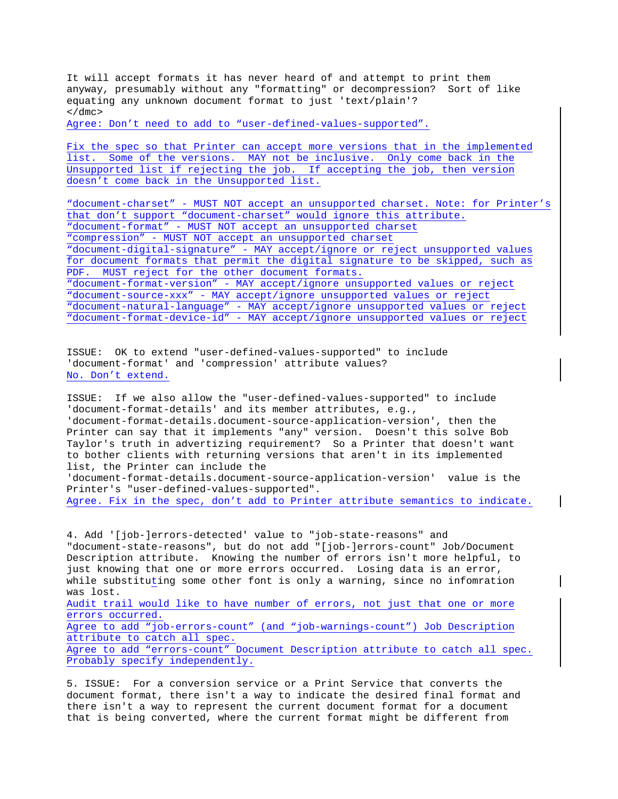It will accept formats it has never heard of and attempt to print them anyway, presumably without any "formatting" or decompression? Sort of like equating any unknown document format to just 'text/plain'?  $\langle$  dmc>

Agree: Don't need to add to "user-defined-values-supported".

Fix the spec so that Printer can accept more versions that in the implemented list. Some of the versions. MAY not be inclusive. Only come back in the Unsupported list if rejecting the job. If accepting the job, then version doesn't come back in the Unsupported list.

"document-charset" - MUST NOT accept an unsupported charset. Note: for Printer's that don't support "document-charset" would ignore this attribute. "document-format" - MUST NOT accept an unsupported charset "compression" - MUST NOT accept an unsupported charset "document-digital-signature" - MAY accept/ignore or reject unsupported values for document formats that permit the digital signature to be skipped, such as PDF. MUST reject for the other document formats. "document-format-version" - MAY accept/ignore unsupported values or reject "document-source-xxx" - MAY accept/ignore unsupported values or reject "document-natural-language" - MAY accept/ignore unsupported values or reject "document-format-device-id" - MAY accept/ignore unsupported values or reject

ISSUE: OK to extend "user-defined-values-supported" to include 'document-format' and 'compression' attribute values? No. Don't extend.

ISSUE: If we also allow the "user-defined-values-supported" to include 'document-format-details' and its member attributes, e.g., 'document-format-details.document-source-application-version', then the Printer can say that it implements "any" version. Doesn't this solve Bob Taylor's truth in advertizing requirement? So a Printer that doesn't want to bother clients with returning versions that aren't in its implemented list, the Printer can include the 'document-format-details.document-source-application-version' value is the Printer's "user-defined-values-supported". Agree. Fix in the spec, don't add to Printer attribute semantics to indicate.

4. Add '[job-]errors-detected' value to "job-state-reasons" and "document-state-reasons", but do not add "[job-]errors-count" Job/Document Description attribute. Knowing the number of errors isn't more helpful, to just knowing that one or more errors occurred. Losing data is an error, while substituting some other font is only a warning, since no infomration was lost. Audit trail would like to have number of errors, not just that one or more errors occurred. Agree to add "job-errors-count" (and "job-warnings-count") Job Description attribute to catch all spec. Agree to add "errors-count" Document Description attribute to catch all spec. Probably specify independently.

5. ISSUE: For a conversion service or a Print Service that converts the document format, there isn't a way to indicate the desired final format and there isn't a way to represent the current document format for a document that is being converted, where the current format might be different from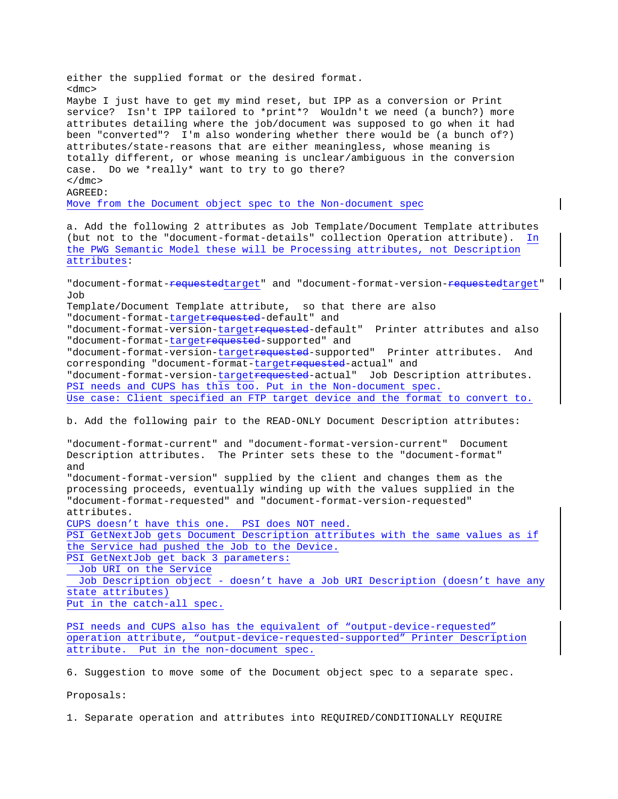either the supplied format or the desired format. <dmc> Maybe I just have to get my mind reset, but IPP as a conversion or Print service? Isn't IPP tailored to \*print\*? Wouldn't we need (a bunch?) more attributes detailing where the job/document was supposed to go when it had been "converted"? I'm also wondering whether there would be (a bunch of?) attributes/state-reasons that are either meaningless, whose meaning is totally different, or whose meaning is unclear/ambiguous in the conversion case. Do we \*really\* want to try to go there?  $\langle$  dmc $\rangle$ AGREED: Move from the Document object spec to the Non-document spec a. Add the following 2 attributes as Job Template/Document Template attributes (but not to the "document-format-details" collection Operation attribute). In the PWG Semantic Model these will be Processing attributes, not Description attributes: "document-format-<del>requested</del>target" and "document-format-version-<del>requested</del>target" Job Template/Document Template attribute, so that there are also "document-format-targetrequested-default" and "document-format-version-target<del>requested</del>-default" Printer attributes and also "document-format-targetrequested-supported" and "document-format-version-targetrequested-supported" Printer attributes. And corresponding "document-format-targetrequested-actual" and "document-format-version-target<del>requested</del>-actual" Job Description attributes. PSI needs and CUPS has this too. Put in the Non-document spec. Use case: Client specified an FTP target device and the format to convert to. b. Add the following pair to the READ-ONLY Document Description attributes: "document-format-current" and "document-format-version-current" Document Description attributes. The Printer sets these to the "document-format" and "document-format-version" supplied by the client and changes them as the processing proceeds, eventually winding up with the values supplied in the "document-format-requested" and "document-format-version-requested"

attributes.

CUPS doesn't have this one. PSI does NOT need.

PSI GetNextJob gets Document Description attributes with the same values as if the Service had pushed the Job to the Device.

PSI GetNextJob get back 3 parameters:

Job URI on the Service

 Job Description object - doesn't have a Job URI Description (doesn't have any state attributes)

Put in the catch-all spec.

PSI needs and CUPS also has the equivalent of "output-device-requested" operation attribute, "output-device-requested-supported" Printer Description attribute. Put in the non-document spec.

6. Suggestion to move some of the Document object spec to a separate spec.

Proposals:

1. Separate operation and attributes into REQUIRED/CONDITIONALLY REQUIRE